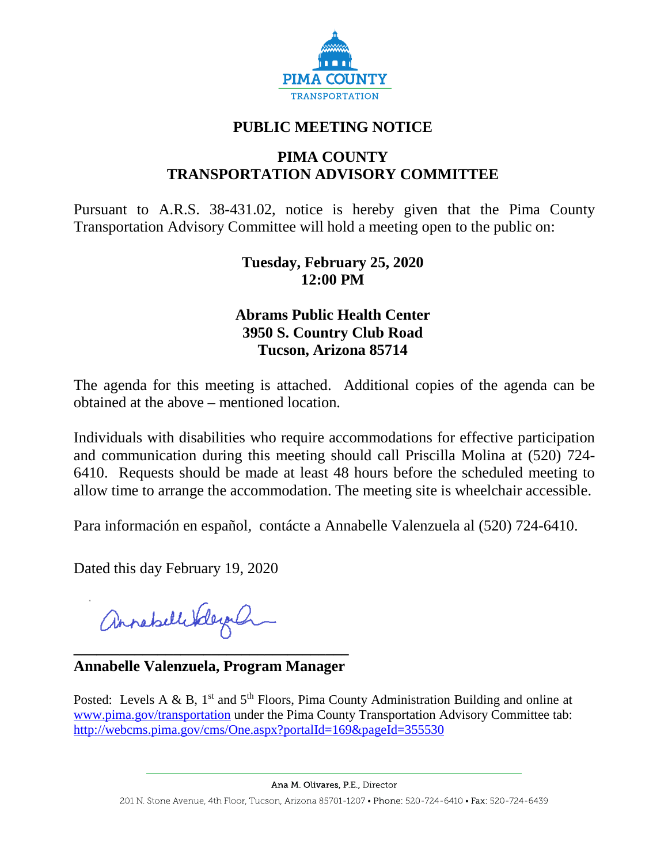

# **PUBLIC MEETING NOTICE**

# **PIMA COUNTY TRANSPORTATION ADVISORY COMMITTEE**

Pursuant to A.R.S. 38-431.02, notice is hereby given that the Pima County Transportation Advisory Committee will hold a meeting open to the public on:

### **Tuesday, February 25, 2020 12:00 PM**

## **Abrams Public Health Center 3950 S. Country Club Road Tucson, Arizona 85714**

The agenda for this meeting is attached. Additional copies of the agenda can be obtained at the above – mentioned location.

Individuals with disabilities who require accommodations for effective participation and communication during this meeting should call Priscilla Molina at (520) 724- 6410. Requests should be made at least 48 hours before the scheduled meeting to allow time to arrange the accommodation. The meeting site is wheelchair accessible.

Para información en español, contácte a Annabelle Valenzuela al (520) 724-6410.

Dated this day February 19, 2020

annahellebleyah

**\_\_\_\_\_\_\_\_\_\_\_\_\_\_\_\_\_\_\_\_\_\_\_\_\_\_\_\_\_\_\_\_\_\_\_\_ Annabelle Valenzuela, Program Manager**

Posted: Levels A & B, 1<sup>st</sup> and 5<sup>th</sup> Floors, Pima County Administration Building and online at [www.pima.gov/transportation](http://www.pima.gov/transportation) under the Pima County Transportation Advisory Committee tab: <http://webcms.pima.gov/cms/One.aspx?portalId=169&pageId=355530>

Ana M. Olivares, P.E., Director

201 N. Stone Avenue, 4th Floor, Tucson, Arizona 85701-1207 • Phone: 520-724-6410 • Fax: 520-724-6439